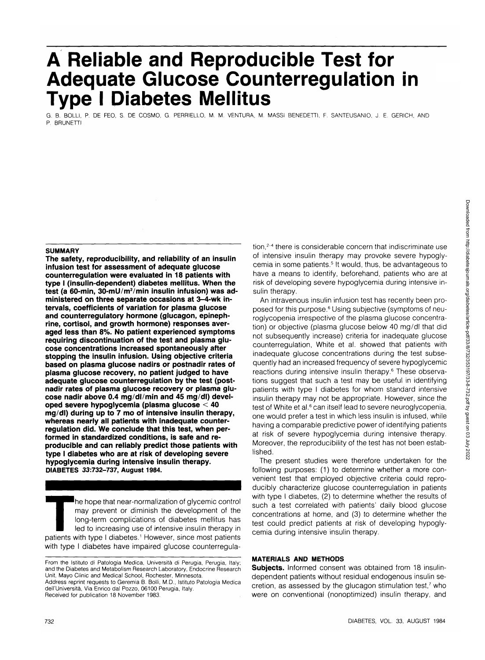# **A Reliable and Reproducible Test for Adequate Glucose Counterregulation in Type I Diabetes Mellitus**

G. B. BOLLI, P. DE FEO, S. DE COSMO, G. PERRIELLO, M. M. VENTURA, M. MASSI BENEDETTI, F. SANTEUSANIO, J. E. GERICH, AND P. BRUNETTI

# **SUMMARY**

**The safety, reproducibility, and reliability of an insulin infusion test for assessment of adequate glucose counterregulation were evaluated in 18 patients with type I (insulin-dependent) diabetes mellitus. When the test (a 60-min, 30-mU/m<sup>2</sup> /min insulin infusion) was administered on three separate occasions at 3-4-wk intervals, coefficients of variation for plasma glucose and counterregulatory hormone (glucagon, epinephrine, cortisol, and growth hormone) responses averaged less than 8%. No patient experienced symptoms requiring discontinuation of the test and plasma glucose concentrations increased spontaneously after stopping the insulin infusion. Using objective criteria based on plasma glucose nadirs or postnadir rates of plasma glucose recovery, no patient judged to have adequate glucose counterregulation by the test (postnadir rates of plasma glucose recovery or plasma glucose nadir above 0.4 mg/dl/min and 45 mg/dl) developed severe hypoglycemia (plasma glucose < 40 mg/dl) during up to 7 mo of intensive insulin therapy, whereas nearly all patients with inadequate counterregulation did. We conclude that this test, when performed in standardized conditions, is safe and reproducible and can reliably predict those patients with type I diabetes who are at risk of developing severe hypoglycemia during intensive insulin therapy. DIABETES 33:732-737, August 1984.**

The hope that near-normalization of glycemic control<br>
may prevent or diminish the development of the<br>
long-term complications of diabetes mellitus has<br>
led to increasing use of intensive insulin therapy in<br>
patients with t may prevent or diminish the development of the long-term complications of diabetes mellitus has led to increasing use of intensive insulin therapy in with type I diabetes have impaired glucose counterregula-

tion,<sup>2-4</sup> there is considerable concern that indiscriminate use of intensive insulin therapy may provoke severe hypoglycemia in some patients.<sup>5</sup> It would, thus, be advantageous to have a means to identify, beforehand, patients who are at risk of developing severe hypoglycemia during intensive insulin therapy.

An intravenous insulin infusion test has recently been proposed for this purpose.<sup>6</sup> Using subjective (symptoms of neuroglycopenia irrespective of the plasma glucose concentration) or objective (plasma glucose below 40 mg/dl that did not subsequently increase) criteria for inadequate glucose counterregulation, White et al. showed that patients with inadequate glucose concentrations during the test subsequently had an increased frequency of severe hypoglycemic reactions during intensive insulin therapy.<sup>6</sup> These observations suggest that such a test may be useful in identifying patients with type I diabetes for whom standard intensive insulin therapy may not be appropriate. However, since the test of White et al.<sup>6</sup> can itself lead to severe neuroglycopenia, one would prefer a test in which less insulin is infused, while having a comparable predictive power of identifying patients at risk of severe hypoglycemia during intensive therapy. Moreover, the reproducibility of the test has not been established.

The present studies were therefore undertaken for the following purposes: (1) to determine whether a more convenient test that employed objective criteria could reproducibly characterize glucose counterregulation in patients with type I diabetes, (2) to determine whether the results of such a test correlated with patients' daily blood glucose concentrations at home, and (3) to determine whether the test could predict patients at risk of developing hypoglycemia during intensive insulin therapy.

#### **MATERIALS AND METHODS**

**Subjects.** Informed consent was obtained from 18 insulindependent patients without residual endogenous insulin secretion, as assessed by the glucagon stimulation test,<sup>7</sup> who were on conventional (nonoptimized) insulin therapy, and

From the Istituto di Patologia Medica, Universita di Perugia, Perugia, Italy; and the Diabetes and Metabolism Research Laboratory, Endocrine Research Unit, Mayo Clinic and Medical School, Rochester, Minnesota.

Address reprint requests to Geremia B. Bolli, M.D., Istituto Patologia Medica dell'Universita, Via Enrico dal Pozzo, 06100 Perugia, Italy. Received for publication 18 November 1983.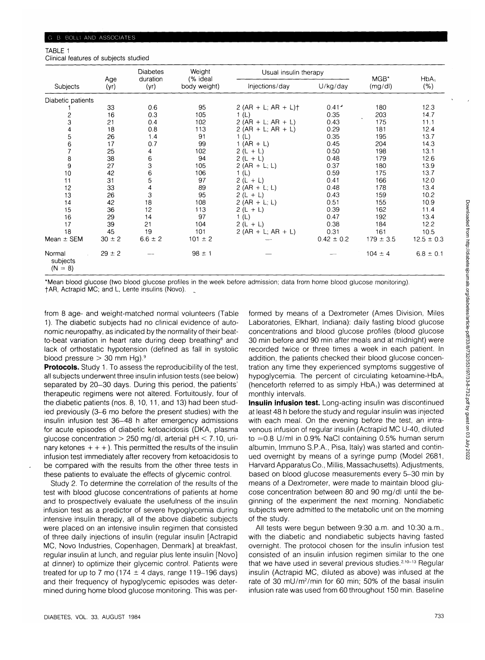### TABLE 1

Clinical features of subjects studied

|                                 | Age<br>(yr) | <b>Diabetes</b><br>duration<br>(yr) | Weight<br>(% ideal<br>body weight) | Usual insulin therapy |                                      |                |                    |
|---------------------------------|-------------|-------------------------------------|------------------------------------|-----------------------|--------------------------------------|----------------|--------------------|
| Subjects                        |             |                                     |                                    | Injections/day        | U/kg/day                             | MGB*<br>(mg/d) | $HbA_1$<br>$(\% )$ |
| Diabetic patients               |             |                                     |                                    |                       |                                      |                |                    |
|                                 | 33          | 0.6                                 | 95                                 | $2 (AR + L; AR + L)$  | $0.41$ <sup><math>\cdot</math></sup> | 180            | 12.3               |
|                                 | 16          | 0.3                                 | 105                                | 1 (L)                 | 0.35                                 | 203            | 14.7               |
| $\frac{2}{3}$                   | 21          | 0.4                                 | 102                                | $2 (AR + L; AR + L)$  | 0.43                                 | 175            | 11.1               |
|                                 | 18          | 0.8                                 | 113                                | $2 (AR + L; AR + L)$  | 0.29                                 | 181            | 12.4               |
| 4567                            | 26          | 1.4                                 | 91                                 | (L)                   | 0.35                                 | 195            | 13.7               |
|                                 | 17          | 0.7                                 | 99                                 | $1 (AR + L)$          | 0.45                                 | 204            | 14.3               |
|                                 | 25          | 4                                   | 102                                | $2(L + L)$            | 0.50                                 | 198            | 13.1               |
| 8                               | 38          | 6                                   | 94                                 | $2(L + L)$            | 0.48                                 | 179            | 12.6               |
| 9                               | 27          | 3                                   | 105                                | $2 (AR + L; L)$       | 0.37                                 | 180            | 13.9               |
| 10                              | 42          | 6                                   | 106                                | 1(L)                  | 0.59                                 | 175            | 13.7               |
| 11                              | 31          | 5                                   | 97                                 | $2(L + L)$            | 0.41                                 | 166            | 12.0               |
| 12                              | 33          | 4                                   | 89                                 | 2 (AR + L; L)         | 0.48                                 | 178            | 13.4               |
| 13                              | 26          | 3                                   | 95                                 | $2(L + L)$            | 0.43                                 | 159            | 10.2               |
| 14                              | 42          | 18                                  | 108                                | 2 (AR + L; L)         | 0.51                                 | 155            | 10.9               |
| 15                              | 36          | 12                                  | 113                                | $2(L + L)$            | 0.39                                 | 162            | 11.4               |
| 16                              | 29          | 14                                  | 97                                 | 1(L)                  | 0.47                                 | 192            | 13.4               |
| 17                              | 39          | 21                                  | 104                                | $2(L + L)$            | 0.38                                 | 184            | 12.2               |
| 18                              | 45          | 19                                  | 101                                | $2 (AR + L; AR + L)$  | 0.31                                 | 161            | 10.5               |
| Mean ± SEM                      | $30 \pm 2$  | $6.6 \pm 2$                         | $101 \pm 2$                        |                       | $0.42 \pm 0.2$                       | $179 \pm 3.5$  | $12.5 \pm 0.3$     |
| Normal<br>subjects<br>$(N = 8)$ | $29 \pm 2$  |                                     | $98 \pm 1$                         |                       |                                      | $104 \pm 4$    | $6.8 \pm 0.1$      |

\*Mean blood glucose (two blood glucose profiles in the week before admission; data from home blood glucose monitoring). fAR, Actrapid MC; and L, Lente insulins (Novo).

from 8 age- and weight-matched normal volunteers (Table 1). The diabetic subjects had no clinical evidence of autonomic neuropathy, as indicated by the normality of their beatto-beat variation in heart rate during deep breathing<sup>8</sup> and lack of orthostatic hypotension (defined as fall in systolic blood pressure  $>$  30 mm Hg).<sup>9</sup>

**Protocols.** Study 1. To assess the reproducibility of the test, all subjects underwent three insulin infusion tests (see below) separated by 20-30 days. During this period, the patients' therapeutic regimens were not altered. Fortuitously, four of the diabetic patients (nos. 8, 10, 11, and 13) had been studied previously (3-6 mo before the present studies) with the insulin infusion test 36-48 h after emergency admissions for acute episodes of diabetic ketoacidosis (DKA, plasma glucose concentration  $> 250$  mg/dl, arterial pH  $< 7.10$ , urinary ketones  $++$ ). This permitted the results of the insulin infusion test immediately after recovery from ketoacidosis to be compared with the results from the other three tests in these patients to evaluate the effects of glycemic control.

Study 2. To determine the correlation of the results of the test with blood glucose concentrations of patients at home and to prospectively evaluate the usefulness of the insulin infusion test as a predictor of severe hypoglycemia during intensive insulin therapy, all of the above diabetic subjects were placed on an intensive insulin regimen that consisted of three daily injections of insulin (regular insulin [Actrapid MC, Novo Industries, Copenhagen, Denmark] at breakfast, regular insulin at lunch, and regular plus lente insulin [Novo] at dinner) to optimize their glycemic control. Patients were treated for up to 7 mo (174  $\pm$  4 days, range 119-196 days) and their frequency of hypoglycemic episodes was determined during home blood glucose monitoring. This was per-

formed by means of a Dextrometer (Ames Division, Miles Laboratories, Elkhart, Indiana): daily fasting blood glucose concentrations and blood glucose profiles (blood glucose 30 min before and 90 min after meals and at midnight) were recorded twice or three times a week in each patient. In addition, the patients checked their blood glucose concentration any time they experienced symptoms suggestive of hypoglycemia. The percent of circulating ketoamine-HbA, (henceforth referred to as simply  $HbA_1$ ) was determined at monthly intervals.

**Insulin infusion test.** Long-acting insulin was discontinued at least 48 h before the study and regular insulin was injected with each meal. On the evening before the test, an intravenous infusion of regular insulin (Actrapid MC U-40, diluted to  $\approx$  0.8 U/ml in 0.9% NaCI containing 0.5% human serum albumin, Immuno S.P.A., Pisa, Italy) was started and continued overnight by means of a syringe pump (Model 2681, Harvard Apparatus Co., Millis, Massachusetts). Adjustments, based on blood glucose measurements every 5-30 min by means of a Dextrometer, were made to maintain blood glucose concentration between 80 and 90 mg/dl until the beginning of the experiment the next morning. Nondiabetic subjects were admitted to the metabolic unit on the morning of the study.

All tests were begun between 9:30 a.m. and 10:30 a.m., with the diabetic and nondiabetic subjects having fasted overnight. The protocol chosen for the insulin infusion test consisted of an insulin infusion regimen similar to the one that we have used in several previous studies.<sup>2,10-13</sup> Regular insulin (Actrapid MC, diluted as above) was infused at the rate of 30 mU/m<sup>2</sup>/min for 60 min; 50% of the basal insulin infusion rate was used from 60 throughout 150 min. Baseline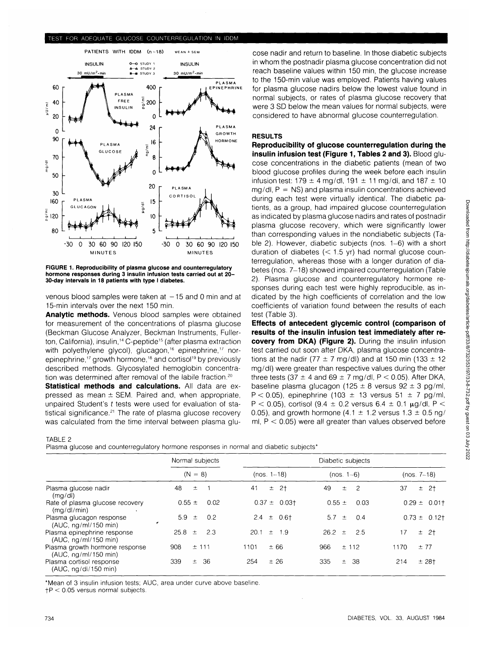#### TEST FOR ADEQUATE GLUCOSE COUNTERREGULATION IN IDDM



**FIGURE 1. Reproducibility of plasma glucose and counterregulatory hormone responses during 3 insulin infusion tests carried out at 20- 30-day intervals in 18 patients with type I diabetes.**

venous blood samples were taken at  $-15$  and 0 min and at 15-min intervals over the next 150 min.

**Analytic methods.** Venous blood samples were obtained for measurement of the concentrations of plasma glucose (Beckman Glucose Analyzer, Beckman Instruments, Fullerton, California), insulin,<sup>14</sup> C-peptide<sup>15</sup> (after plasma extraction with polyethylene glycol), glucagon,<sup>16</sup> epinephrine,<sup>17</sup> norepinephrine,<sup>17</sup> growth hormone,<sup>18</sup> and cortisol<sup>19</sup> by previously described methods. Glycosylated hemoglobin concentration was determined after removal of the labile fraction.<sup>20</sup>

**Statistical methods and calculations.** All data are expressed as mean  $\pm$  SEM. Paired and, when appropriate, unpaired Student's t tests were used for evaluation of statistical significance.<sup>21</sup> The rate of plasma glucose recovery was calculated from the time interval between plasma glu-

#### TABLE 2

Plasma glucose and counterregulatory hormone responses in normal and diabetic subjects<sup>\*</sup>

| in whom the postnadir plasma glucose concentration did not |
|------------------------------------------------------------|
| reach baseline values within 150 min, the glucose increase |
| to the 150-min value was employed. Patients having values  |
| for plasma glucose nadirs below the lowest value found in  |
| normal subjects, or rates of plasma glucose recovery that  |
| were 3 SD below the mean values for normal subjects, were  |
| considered to have abnormal glucose counterregulation.     |

cose nadir and return to baseline. In those diabetic subjects

#### **RESULTS**

**Reproducibility of glucose counterregulation during the insulin infusion test (Figure 1, Tables 2 and 3).** Blood glucose concentrations in the diabetic patients (mean of two blood glucose profiles during the week before each insulin infusion test: 179  $\pm$  4 mg/dl, 191  $\pm$  11 mg/dl, and 187  $\pm$  10  $mq/dl$ ,  $P = NS$ ) and plasma insulin concentrations achieved during each test were virtually identical. The diabetic patients, as a group, had impaired glucose counterregulation as indicated by plasma glucose nadirs and rates of postnadir plasma glucose recovery, which were significantly lower than corresponding values in the nondiabetic subjects (Table 2). However, diabetic subjects (nos. 1-6) with a short duration of diabetes  $(< 1.5$  yr) had normal glucose counterregulation, whereas those with a longer duration of diabetes (nos. 7-18) showed impaired counterregulation (Table 2). Plasma glucose and counterregulatory hormone responses during each test were highly reproducible, as indicated by the high coefficients of correlation and the low coefficients of variation found between the results of each test (Table 3).

**Effects of antecedent glycemic control (comparison of results of the insulin infusion test immediately after recovery from DKA) (Figure 2).** During the insulin infusion test carried out soon after DKA, plasma glucose concentrations at the nadir (77  $\pm$  7 mg/dl) and at 150 min (133  $\pm$  12 mg/dl) were greater than respective values during the other three tests (37  $\pm$  4 and 69  $\pm$  7 mg/dl, P < 0.05). After DKA, baseline plasma glucagon (125  $\pm$  8 versus 92  $\pm$  3 pg/ml,  $P < 0.05$ ), epinephrine (103  $\pm$  13 versus 51  $\pm$  7 pg/ml, P < 0.05), cortisol (9.4  $\pm$  0.2 versus 6.4  $\pm$  0.1  $\mu$ g/dl, P < 0.05), and growth hormone (4.1  $\pm$  1.2 versus 1.3  $\pm$  0.5 ng/ ml,  $P < 0.05$ ) were all greater than values observed before

|                                                        | Normal subjects       | Diabetic subjects |                     |                   |  |
|--------------------------------------------------------|-----------------------|-------------------|---------------------|-------------------|--|
|                                                        | $(N = 8)$             | $(nos. 1-18)$     | $(nos. 1-6)$        | $(nos. 7-18)$     |  |
| Plasma glucose nadir<br>(mq/d)                         | 48<br>士               | ± 2†<br>41        | 49<br>-2<br>士。      | ± 2†<br>37        |  |
| Rate of plasma glucose recovery<br>(mq/dl/min)         | $0.55 \pm$<br>0.02    | $0.37 \pm 0.03$ † | $0.55 \pm$<br>0.03  | $0.29 \pm 0.01$ † |  |
| Plasma glucagon response<br>(AUC, ng/ml/150 min)       | 5.9 $\pm$<br>0.2<br>, | $2.4 \pm 0.61$    | 0.4<br>5.7 $\pm$    | $0.73 \pm 0.12$ t |  |
| Plasma epinephrine response<br>(AUC, ng/ml/150 min)    | $25.8 \pm$<br>2.3     | $20.1 \pm 1.9$    | $26.2 \pm 2.5$      | ± 2†<br>17        |  |
| Plasma growth hormone response<br>(AUC, ng/ml/150 min) | ± 111<br>908          | ±66<br>1101       | 966<br>± 112        | 1170<br>±77       |  |
| Plasma cortisol response<br>(AUC, ng/dl/150 min)       | 339<br>36<br>士。       | ± 26<br>254       | 335<br>-38<br>$\pm$ | 214<br>$± 28+$    |  |

\*Mean of 3 insulin infusion tests; AUC, area under curve above baseline.

 $FP < 0.05$  versus normal subjects.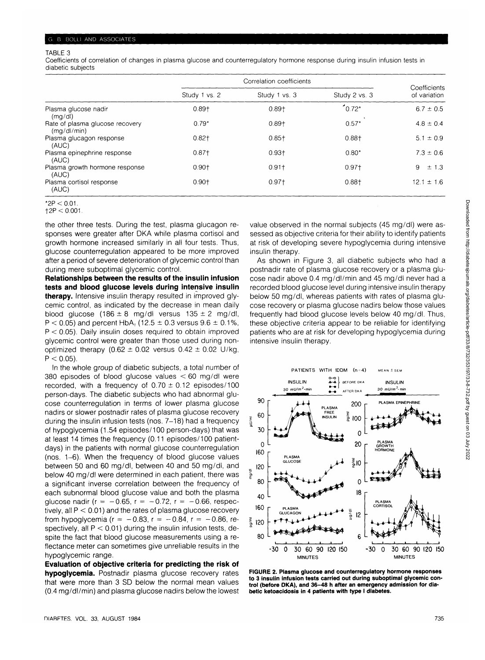#### TABLE 3

Coefficients of correlation of changes in plasma glucose and counterregulatory hormone response during insulin infusion tests in diabetic subjects

|                                                | Correlation coefficients |               |               |                              |
|------------------------------------------------|--------------------------|---------------|---------------|------------------------------|
|                                                | Study 1 vs. 2            | Study 1 vs. 3 | Study 2 vs. 3 | Coefficients<br>of variation |
| Plasma glucose nadir<br>(mq/d)                 | $0.89 +$                 | $0.89 +$      | $10.72*$      | $6.7 \pm 0.5$                |
| Rate of plasma glucose recovery<br>(mq/dl/min) | $0.79*$                  | $0.89 +$      | $0.57*$       | $4.8 \pm 0.4$                |
| Plasma glucagon response<br>(AUC)              | $0.82 +$                 | $0.85 +$      | $0.88 +$      | $5.1 \pm 0.9$                |
| Plasma epinephrine response<br>(AUC)           | $0.87 +$                 | $0.93 +$      | $0.80*$       | $7.3 \pm 0.6$                |
| Plasma growth hormone response<br>(AUC)        | $0.90 +$                 | $0.91 +$      | $0.97+$       | 9<br>$\pm$ 1.3               |
| Plasma cortisol response<br>(AUC)              | $0.90 +$                 | $0.97+$       | $0.88 +$      | $12.1 \pm 1.6$               |
| $*2D \times 0.01$                              |                          |               |               |                              |

 $*$ 2P  $<$  0.01.  $12P < 0.001$ 

the other three tests. During the test, plasma glucagon responses were greater after DKA while plasma cortisol and growth hormone increased similarly in all four tests. Thus, glucose counterregulation appeared to be more improved after a period of severe deterioration of glycemic control than during mere suboptimal glycemic control.

**Relationships between the results of the insulin infusion tests and blood glucose levels during intensive insulin therapy.** Intensive insulin therapy resulted in improved glycemic control, as indicated by the decrease in mean daily blood glucose (186  $\pm$  8 mg/dl versus 135  $\pm$  2 mg/dl,  $P < 0.05$ ) and percent HbA<sub>1</sub> (12.5  $\pm$  0.3 versus 9.6  $\pm$  0.1%,  $P < 0.05$ ). Daily insulin doses required to obtain improved glycemic control were greater than those used during nonoptimized therapy (0.62  $\pm$  0.02 versus 0.42  $\pm$  0.02 U/kg,  $P < 0.05$ ).

In the whole group of diabetic subjects, a total number of 380 episodes of blood glucose values  $<$  60 mg/dl were recorded, with a frequency of  $0.70 \pm 0.12$  episodes/100 person-days. The diabetic subjects who had abnormal glucose counterregulation in terms of lower plasma glucose nadirs or slower postnadir rates of plasma glucose recovery during the insulin infusion tests (nos. 7-18) had a frequency of hypoglycemia (1.54 episodes/100 person-days) that was at least 14 times the frequency (0.11 episodes/100 patientdays) in the patients with normal glucose counterregulation (nos. 1-6). When the frequency of blood glucose values between 50 and 60 mg/dl, between 40 and 50 mg/dl, and below 40 mg/dl were determined in each patient, there was a significant inverse correlation between the frequency of each subnormal blood glucose value and both the plasma glucose nadir ( $r = -0.65$ ,  $r = -0.72$ ,  $r = -0.66$ , respectively, all  $P < 0.01$ ) and the rates of plasma glucose recovery from hypoglycemia ( $r = -0.83$ ,  $r = -0.84$ ,  $r = -0.86$ , respectively, all  $P < 0.01$ ) during the insulin infusion tests, despite the fact that blood glucose measurements using a reflectance meter can sometimes give unreliable results in the hypoglycemic range.

**Evaluation of objective criteria for predicting the risk of hypoglycemia.** Postnadir plasma glucose recovery rates that were more than 3 SD below the normal mean values (0.4 mg/dl/min) and plasma glucose nadirs below the lowest sessed as objective criteria for their ability to identify patients at risk of developing severe hypoglycemia during intensive insulin therapy. As shown in Figure 3, all diabetic subjects who had a

value observed in the normal subjects (45 mg/dl) were as-

postnadir rate of plasma glucose recovery or a plasma glucose nadir above 0.4 mg/dl/min and 45 mg/dl never had a recorded blood glucose level during intensive insulin therapy below 50 mg/dl, whereas patients with rates of plasma glucose recovery or plasma glucose nadirs below those values frequently had blood glucose levels below 40 mg/dl. Thus, these objective criteria appear to be reliable for identifying patients who are at risk for developing hypoglycemia during intensive insulin therapy.



**FIGURE 2. Plasma glucose and counterregulatory hormone responses to 3 insulin infusion tests carried out during suboptimal glycemic control (before DKA), and 36-48 h after an emergency admission for diabetic ketoacidosis in 4 patients with type I diabetes.**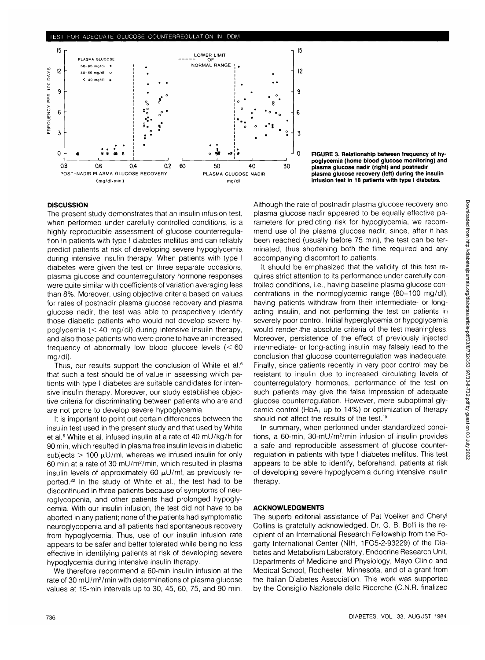#### fEST FOR ADEQUATE GLUCOSE COUNTERREGULATION IN IDDM



**J 0 FIGURE 3. Relationship between frequency of hypoglycemia (home blood glucose monitoring) and plasma glucose nadir (right) and postnadir plasma glucose recovery (left) during the insulin infusion test in 18 patients with type I diabetes.**

# **DISCUSSION**

The present study demonstrates that an insulin infusion test, when performed under carefully controlled conditions, is a highly reproducible assessment of glucose counterregulation in patients with type I diabetes mellitus and can reliably predict patients at risk of developing severe hypoglycemia during intensive insulin therapy. When patients with type I diabetes were given the test on three separate occasions, plasma glucose and counterregulatory hormone responses were quite similar with coefficients of variation averaging less than 8%. Moreover, using objective criteria based on values for rates of postnadir plasma glucose recovery and plasma glucose nadir, the test was able to prospectively identify those diabetic patients who would not develop severe hypoglycemia  $(< 40 \text{ rad/d})$  during intensive insulin therapy, and also those patients who were prone to have an increased frequency of abnormally low blood glucose levels (< 60 mg/dl).

Thus, our results support the conclusion of White et al.<sup>6</sup> that such a test should be of value in assessing which patients with type I diabetes are suitable candidates for intensive insulin therapy. Moreover, our study establishes objective criteria for discriminating between patients who are and are not prone to develop severe hypoglycemia.

It is important to point out certain differences between the insulin test used in the present study and that used by White et al.<sup>6</sup> White et al. infused insulin at a rate of 40 mU/kg/h for 90 min, which resulted in plasma free insulin levels in diabetic subjects  $> 100 \mu U/ml$ , whereas we infused insulin for only 60 min at a rate of 30 mU/m<sup>2</sup> /min, which resulted in plasma insulin levels of approximately 60  $\mu$ U/ml, as previously reported.<sup>22</sup> In the study of White et al., the test had to be discontinued in three patients because of symptoms of neuroglycopenia, and other patients had prolonged hypoglycemia. With our insulin infusion, the test did not have to be aborted in any patient; none of the patients had symptomatic neuroglycopenia and all patients had spontaneous recovery from hypoglycemia. Thus, use of our insulin infusion rate appears to be safer and better tolerated while being no less effective in identifying patients at risk of developing severe hypoglycemia during intensive insulin therapy.

We therefore recommend a 60-min insulin infusion at the rate of 30 mU/m<sup>2</sup>/min with determinations of plasma glucose values at 15-min intervals up to 30, 45, 60, 75, and 90 min.

Although the rate of postnadir plasma glucose recovery and plasma glucose nadir appeared to be equally effective parameters for predicting risk for hypoglycemia, we recommend use of the plasma glucose nadir, since, after it has been reached (usually before 75 min), the test can be terminated, thus shortening both the time required and any accompanying discomfort to patients.

It should be emphasized that the validity of this test requires strict attention to its performance under carefully controlled conditions, i.e., having baseline plasma glucose concentrations in the normoglycemic range (80-100 mg/dl), having patients withdraw from their intermediate- or longacting insulin, and not performing the test on patients in severely poor control. Initial hyperglycemia or hypoglycemia would render-the absolute criteria of the test meaningless. Moreover, persistence of the effect of previously injected intermediate- or long-acting insulin may falsely lead to the conclusion that glucose counterregulation was inadequate. Finally, since patients recently in very poor control may be resistant to insulin due to increased circulating levels of counterregulatory hormones, performance of the test on such patients may give the false impression of adequate glucose counterregulation. However, mere suboptimal glycemic control (HbA, up to 14%) or optimization of therapy should not affect the results of the test.<sup>10</sup>

In summary, when performed under standardized conditions, a 60-min, 30-mU/m<sup>2</sup>/min infusion of insulin provides a safe and reproducible assessment of glucose counterregulation in patients with type I diabetes mellitus. This test appears to be able to identify, beforehand, patients at risk of developing severe hypoglycemia during intensive insulin therapy.

# **ACKNOWLEDGMENTS**

The superb editorial assistance of Pat Voelker and Cheryl Collins is gratefully acknowledged. Dr. G. B. Bolli is the recipient of an International Research Fellowship from the Fogarty International Center (NIH, 1FO5-2-93229) of the Diabetes and Metabolism Laboratory, Endocrine Research Unit, Departments of Medicine and Physiology, Mayo Clinic and Medical School, Rochester, Minnesota, and of a grant from the Italian Diabetes Association. This work was supported by the Consiglio Nazionale delle Ricerche (C.N.R. finalized